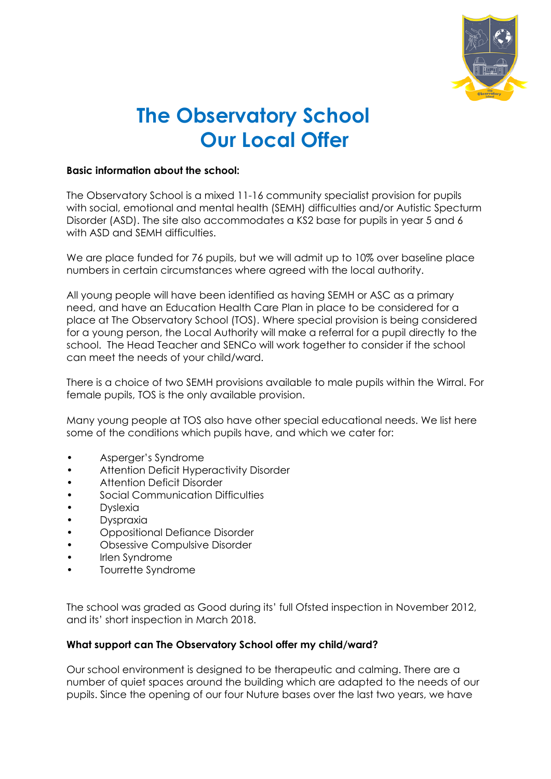

# **The Observatory School Our Local Offer**

## **Basic information about the school:**

The Observatory School is a mixed 11-16 community specialist provision for pupils with social, emotional and mental health (SEMH) difficulties and/or Autistic Specturm Disorder (ASD). The site also accommodates a KS2 base for pupils in year 5 and 6 with ASD and SEMH difficulties.

We are place funded for 76 pupils, but we will admit up to 10% over baseline place numbers in certain circumstances where agreed with the local authority.

All young people will have been identified as having SEMH or ASC as a primary need, and have an Education Health Care Plan in place to be considered for a place at The Observatory School (TOS). Where special provision is being considered for a young person, the Local Authority will make a referral for a pupil directly to the school. The Head Teacher and SENCo will work together to consider if the school can meet the needs of your child/ward.

There is a choice of two SEMH provisions available to male pupils within the Wirral. For female pupils, TOS is the only available provision.

Many young people at TOS also have other special educational needs. We list here some of the conditions which pupils have, and which we cater for:

- Asperger's Syndrome
- Attention Deficit Hyperactivity Disorder
- Attention Deficit Disorder
- Social Communication Difficulties
- **Dyslexia**
- **Dyspraxia**
- Oppositional Defiance Disorder
- Obsessive Compulsive Disorder
- Irlen Syndrome
- Tourrette Syndrome

The school was graded as Good during its' full Ofsted inspection in November 2012, and its' short inspection in March 2018.

## **What support can The Observatory School offer my child/ward?**

Our school environment is designed to be therapeutic and calming. There are a number of quiet spaces around the building which are adapted to the needs of our pupils. Since the opening of our four Nuture bases over the last two years, we have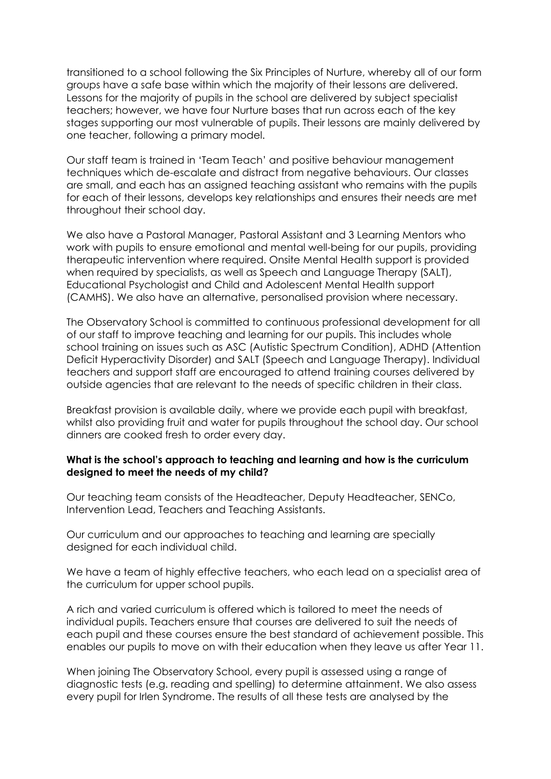transitioned to a school following the Six Principles of Nurture, whereby all of our form groups have a safe base within which the majority of their lessons are delivered. Lessons for the majority of pupils in the school are delivered by subject specialist teachers; however, we have four Nurture bases that run across each of the key stages supporting our most vulnerable of pupils. Their lessons are mainly delivered by one teacher, following a primary model.

Our staff team is trained in 'Team Teach' and positive behaviour management techniques which de-escalate and distract from negative behaviours. Our classes are small, and each has an assigned teaching assistant who remains with the pupils for each of their lessons, develops key relationships and ensures their needs are met throughout their school day.

We also have a Pastoral Manager, Pastoral Assistant and 3 Learning Mentors who work with pupils to ensure emotional and mental well-being for our pupils, providing therapeutic intervention where required. Onsite Mental Health support is provided when required by specialists, as well as Speech and Language Therapy (SALT), Educational Psychologist and Child and Adolescent Mental Health support (CAMHS). We also have an alternative, personalised provision where necessary.

The Observatory School is committed to continuous professional development for all of our staff to improve teaching and learning for our pupils. This includes whole school training on issues such as ASC (Autistic Spectrum Condition), ADHD (Attention Deficit Hyperactivity Disorder) and SALT (Speech and Language Therapy). Individual teachers and support staff are encouraged to attend training courses delivered by outside agencies that are relevant to the needs of specific children in their class.

Breakfast provision is available daily, where we provide each pupil with breakfast, whilst also providing fruit and water for pupils throughout the school day. Our school dinners are cooked fresh to order every day.

## **What is the school's approach to teaching and learning and how is the curriculum designed to meet the needs of my child?**

Our teaching team consists of the Headteacher, Deputy Headteacher, SENCo, Intervention Lead, Teachers and Teaching Assistants.

Our curriculum and our approaches to teaching and learning are specially designed for each individual child.

We have a team of highly effective teachers, who each lead on a specialist area of the curriculum for upper school pupils.

A rich and varied curriculum is offered which is tailored to meet the needs of individual pupils. Teachers ensure that courses are delivered to suit the needs of each pupil and these courses ensure the best standard of achievement possible. This enables our pupils to move on with their education when they leave us after Year 11.

When joining The Observatory School, every pupil is assessed using a range of diagnostic tests (e.g. reading and spelling) to determine attainment. We also assess every pupil for Irlen Syndrome. The results of all these tests are analysed by the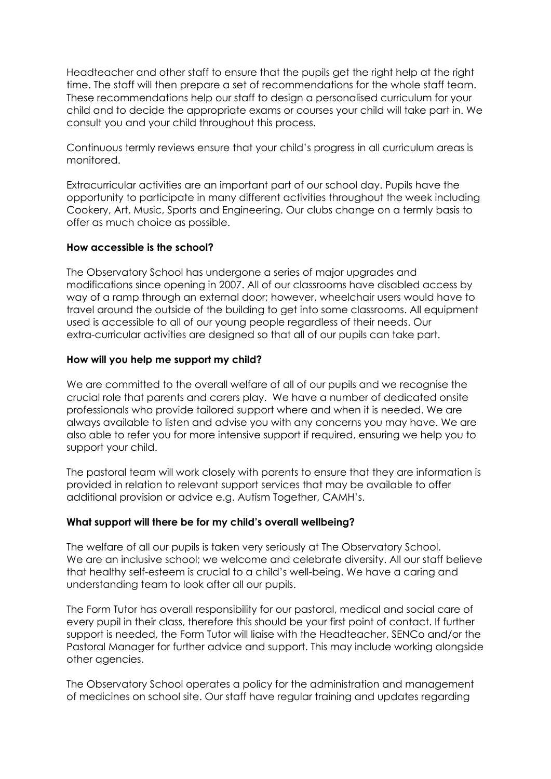Headteacher and other staff to ensure that the pupils get the right help at the right time. The staff will then prepare a set of recommendations for the whole staff team. These recommendations help our staff to design a personalised curriculum for your child and to decide the appropriate exams or courses your child will take part in. We consult you and your child throughout this process.

Continuous termly reviews ensure that your child's progress in all curriculum areas is monitored.

Extracurricular activities are an important part of our school day. Pupils have the opportunity to participate in many different activities throughout the week including Cookery, Art, Music, Sports and Engineering. Our clubs change on a termly basis to offer as much choice as possible.

## **How accessible is the school?**

The Observatory School has undergone a series of major upgrades and modifications since opening in 2007. All of our classrooms have disabled access by way of a ramp through an external door; however, wheelchair users would have to travel around the outside of the building to get into some classrooms. All equipment used is accessible to all of our young people regardless of their needs. Our extra-curricular activities are designed so that all of our pupils can take part.

## **How will you help me support my child?**

We are committed to the overall welfare of all of our pupils and we recognise the crucial role that parents and carers play. We have a number of dedicated onsite professionals who provide tailored support where and when it is needed. We are always available to listen and advise you with any concerns you may have. We are also able to refer you for more intensive support if required, ensuring we help you to support your child.

The pastoral team will work closely with parents to ensure that they are information is provided in relation to relevant support services that may be available to offer additional provision or advice e.g. Autism Together, CAMH's.

# **What support will there be for my child's overall wellbeing?**

The welfare of all our pupils is taken very seriously at The Observatory School. We are an inclusive school; we welcome and celebrate diversity. All our staff believe that healthy self-esteem is crucial to a child's well-being. We have a caring and understanding team to look after all our pupils.

The Form Tutor has overall responsibility for our pastoral, medical and social care of every pupil in their class, therefore this should be your first point of contact. If further support is needed, the Form Tutor will liaise with the Headteacher, SENCo and/or the Pastoral Manager for further advice and support. This may include working alongside other agencies.

The Observatory School operates a policy for the administration and management of medicines on school site. Our staff have regular training and updates regarding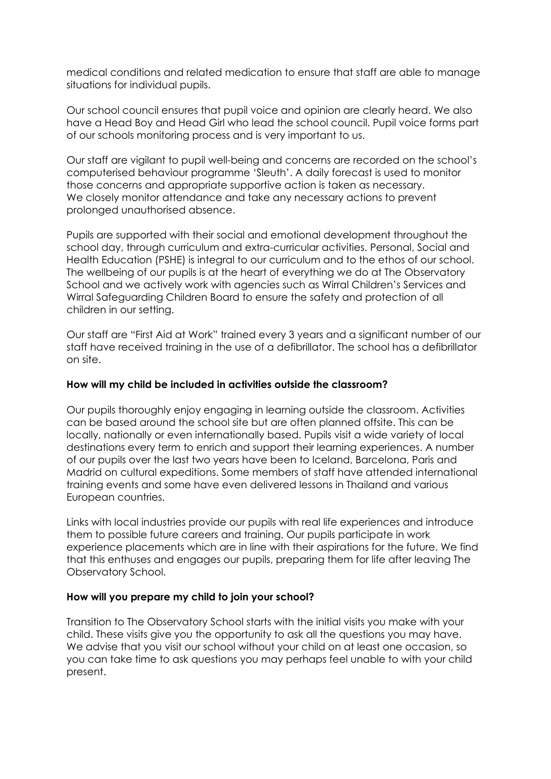medical conditions and related medication to ensure that staff are able to manage situations for individual pupils.

Our school council ensures that pupil voice and opinion are clearly heard. We also have a Head Boy and Head Girl who lead the school council. Pupil voice forms part of our schools monitoring process and is very important to us.

Our staff are vigilant to pupil well-being and concerns are recorded on the school's computerised behaviour programme 'Sleuth'. A daily forecast is used to monitor those concerns and appropriate supportive action is taken as necessary. We closely monitor attendance and take any necessary actions to prevent prolonged unauthorised absence.

Pupils are supported with their social and emotional development throughout the school day, through curriculum and extra-curricular activities. Personal, Social and Health Education (PSHE) is integral to our curriculum and to the ethos of our school. The wellbeing of our pupils is at the heart of everything we do at The Observatory School and we actively work with agencies such as Wirral Children's Services and Wirral Safeguarding Children Board to ensure the safety and protection of all children in our setting.

Our staff are "First Aid at Work" trained every 3 years and a significant number of our staff have received training in the use of a defibrillator. The school has a defibrillator on site.

## **How will my child be included in activities outside the classroom?**

Our pupils thoroughly enjoy engaging in learning outside the classroom. Activities can be based around the school site but are often planned offsite. This can be locally, nationally or even internationally based. Pupils visit a wide variety of local destinations every term to enrich and support their learning experiences. A number of our pupils over the last two years have been to Iceland, Barcelona, Paris and Madrid on cultural expeditions. Some members of staff have attended international training events and some have even delivered lessons in Thailand and various European countries.

Links with local industries provide our pupils with real life experiences and introduce them to possible future careers and training. Our pupils participate in work experience placements which are in line with their aspirations for the future. We find that this enthuses and engages our pupils, preparing them for life after leaving The Observatory School.

## **How will you prepare my child to join your school?**

Transition to The Observatory School starts with the initial visits you make with your child. These visits give you the opportunity to ask all the questions you may have. We advise that you visit our school without your child on at least one occasion, so you can take time to ask questions you may perhaps feel unable to with your child present.